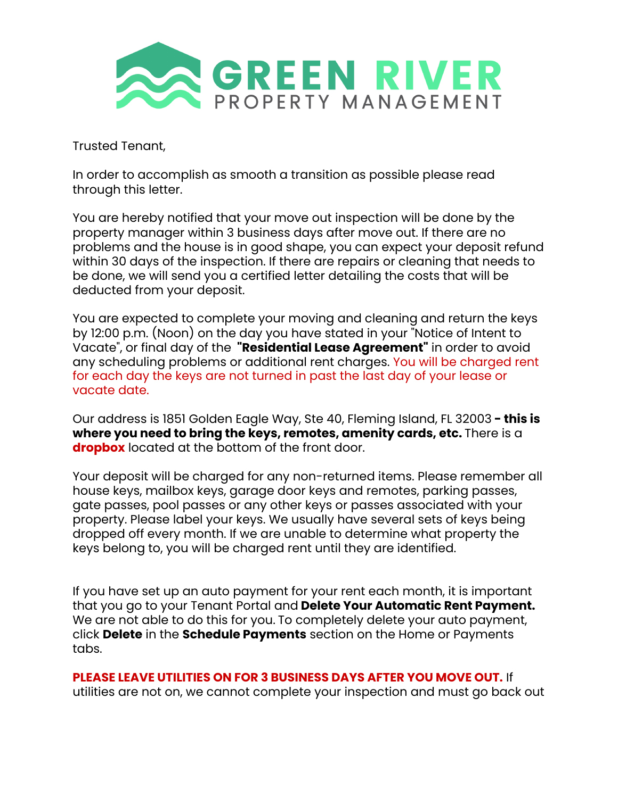

Trusted Tenant,

In order to accomplish as smooth a transition as possible please read through this letter.

You are hereby notified that your move out inspection will be done by the property manager within 3 business days after move out. If there are no problems and the house is in good shape, you can expect your deposit refund within 30 days of the inspection. If there are repairs or cleaning that needs to be done, we will send you a certified letter detailing the costs that will be deducted from your deposit.

You are expected to complete your moving and cleaning and return the keys by 12:00 p.m. (Noon) on the day you have stated in your "Notice of Intent to Vacate", or final day of the **"Residential Lease Agreement"** in order to avoid any scheduling problems or additional rent charges. You will be charged rent for each day the keys are not turned in past the last day of your lease or vacate date.

Our address is 1851 Golden Eagle Way, Ste 40, Fleming Island, FL 32003 **- this is where you need to bring the keys, remotes, amenity cards, etc.** There is a **dropbox** located at the bottom of the front door.

Your deposit will be charged for any non-returned items. Please remember all house keys, mailbox keys, garage door keys and remotes, parking passes, gate passes, pool passes or any other keys or passes associated with your property. Please label your keys. We usually have several sets of keys being dropped off every month. If we are unable to determine what property the keys belong to, you will be charged rent until they are identified.

If you have set up an auto payment for your rent each month, it is important that you go to your Tenant Portal and **Delete Your Automatic Rent Payment.** We are not able to do this for you. To completely delete your auto payment, click **Delete** in the **Schedule Payments** section on the Home or Payments tabs.

**PLEASE LEAVE UTILITIES ON FOR 3 BUSINESS DAYS AFTER YOU MOVE OUT.** If

utilities are not on, we cannot complete your inspection and must go back out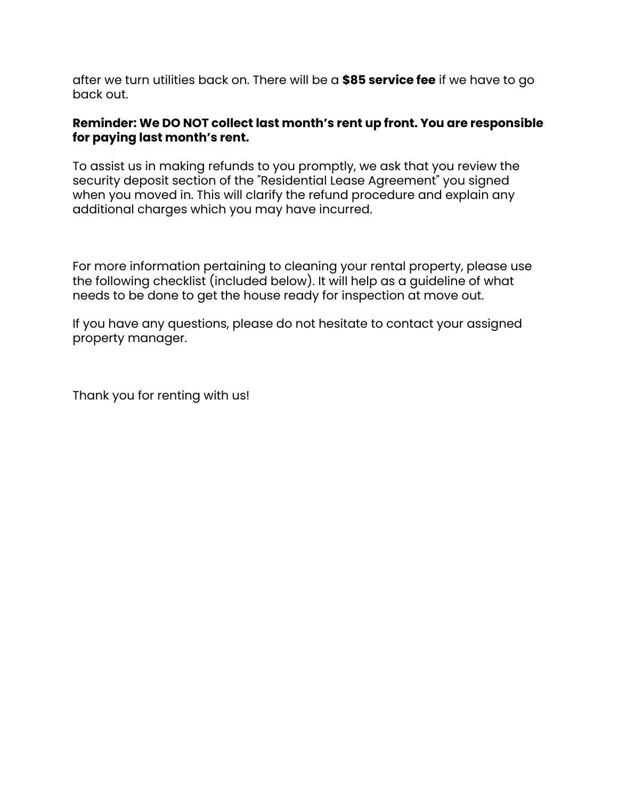after we turn utilities back on. There will be a **\$85 service fee** if we have to go back out.

## **Reminder: We DO NOT collect last month's rent up front. You are responsible for paying last month's rent.**

To assist us in making refunds to you promptly, we ask that you review the security deposit section of the "Residential Lease Agreement" you signed when you moved in. This will clarify the refund procedure and explain any additional charges which you may have incurred.

For more information pertaining to cleaning your rental property, please use the following checklist (included below). It will help as a guideline of what needs to be done to get the house ready for inspection at move out.

If you have any questions, please do not hesitate to contact your assigned property manager.

Thank you for renting with us!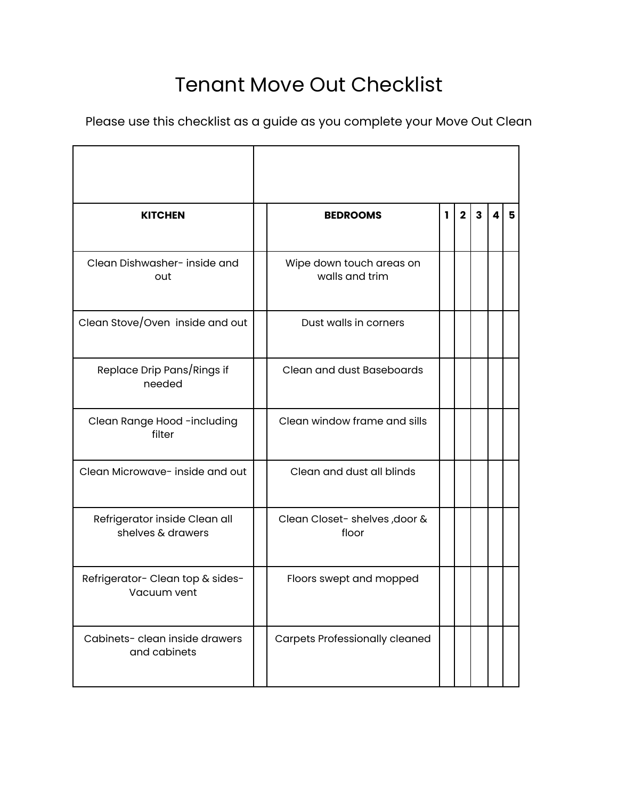## Tenant Move Out Checklist

Please use this checklist as a guide as you complete your Move Out Clean

| <b>KITCHEN</b>                                     | <b>BEDROOMS</b>                            | I. | $\overline{2}$ | $\overline{\mathbf{3}}$ | 4 | 5 |
|----------------------------------------------------|--------------------------------------------|----|----------------|-------------------------|---|---|
| Clean Dishwasher- inside and<br>out                | Wipe down touch areas on<br>walls and trim |    |                |                         |   |   |
| Clean Stove/Oven inside and out                    | Dust walls in corners                      |    |                |                         |   |   |
| Replace Drip Pans/Rings if<br>needed               | Clean and dust Baseboards                  |    |                |                         |   |   |
| Clean Range Hood -including<br>filter              | Clean window frame and sills               |    |                |                         |   |   |
| Clean Microwave- inside and out                    | Clean and dust all blinds                  |    |                |                         |   |   |
| Refrigerator inside Clean all<br>shelves & drawers | Clean Closet- shelves, door &<br>floor     |    |                |                         |   |   |
| Refrigerator- Clean top & sides-<br>Vacuum vent    | Floors swept and mopped                    |    |                |                         |   |   |
| Cabinets-clean inside drawers<br>and cabinets      | <b>Carpets Professionally cleaned</b>      |    |                |                         |   |   |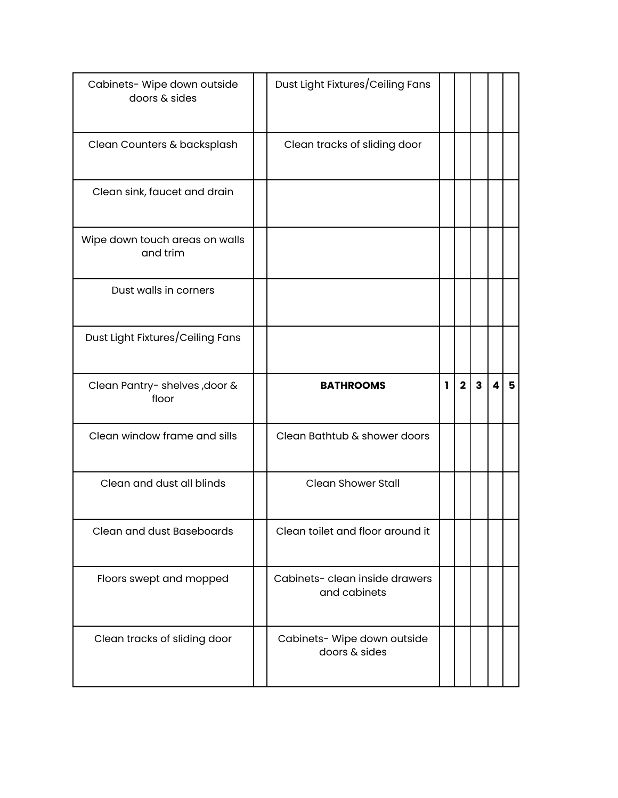| Cabinets- Wipe down outside<br>doors & sides | Dust Light Fixtures/Ceiling Fans              |    |              |              |   |   |
|----------------------------------------------|-----------------------------------------------|----|--------------|--------------|---|---|
| Clean Counters & backsplash                  | Clean tracks of sliding door                  |    |              |              |   |   |
| Clean sink, faucet and drain                 |                                               |    |              |              |   |   |
| Wipe down touch areas on walls<br>and trim   |                                               |    |              |              |   |   |
| Dust walls in corners                        |                                               |    |              |              |   |   |
| Dust Light Fixtures/Ceiling Fans             |                                               |    |              |              |   |   |
|                                              |                                               |    |              |              |   |   |
| Clean Pantry- shelves, door &<br>floor       | <b>BATHROOMS</b>                              | L. | $\mathbf{2}$ | $\mathbf{3}$ | 4 | 5 |
| Clean window frame and sills                 | Clean Bathtub & shower doors                  |    |              |              |   |   |
| Clean and dust all blinds                    | <b>Clean Shower Stall</b>                     |    |              |              |   |   |
| <b>Clean and dust Baseboards</b>             | Clean toilet and floor around it              |    |              |              |   |   |
| Floors swept and mopped                      | Cabinets-clean inside drawers<br>and cabinets |    |              |              |   |   |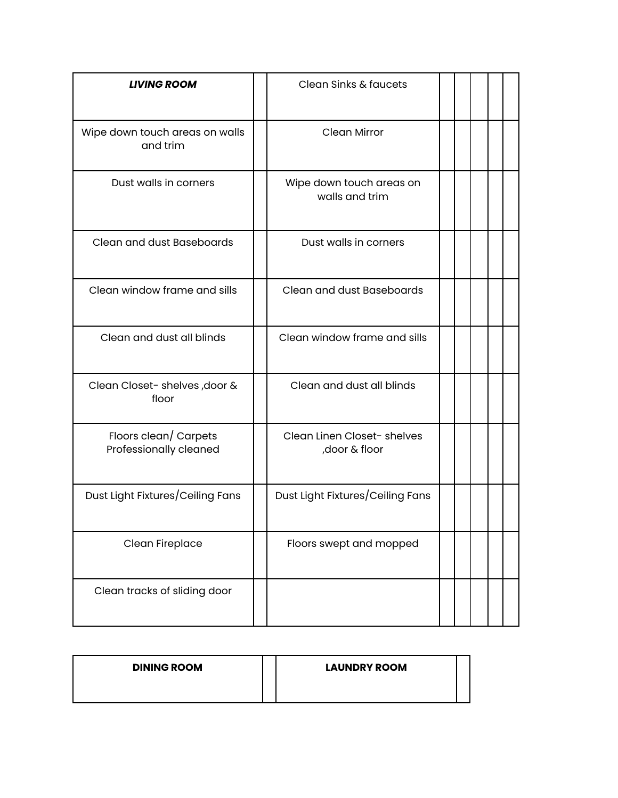| <b>LIVING ROOM</b>                              | Clean Sinks & faucets                         |  |  |  |
|-------------------------------------------------|-----------------------------------------------|--|--|--|
| Wipe down touch areas on walls<br>and trim      | <b>Clean Mirror</b>                           |  |  |  |
| Dust walls in corners                           | Wipe down touch areas on<br>walls and trim    |  |  |  |
| Clean and dust Baseboards                       | Dust walls in corners                         |  |  |  |
| Clean window frame and sills                    | Clean and dust Baseboards                     |  |  |  |
| Clean and dust all blinds                       | Clean window frame and sills                  |  |  |  |
| Clean Closet- shelves, door &<br>floor          | Clean and dust all blinds                     |  |  |  |
| Floors clean/ Carpets<br>Professionally cleaned | Clean Linen Closet- shelves<br>, door & floor |  |  |  |
| Dust Light Fixtures/Ceiling Fans                | Dust Light Fixtures/Ceiling Fans              |  |  |  |
| Clean Fireplace                                 | Floors swept and mopped                       |  |  |  |
| Clean tracks of sliding door                    |                                               |  |  |  |

| <b>DINING ROOM</b> | <b>LAUNDRY ROOM</b> |  |
|--------------------|---------------------|--|
|                    |                     |  |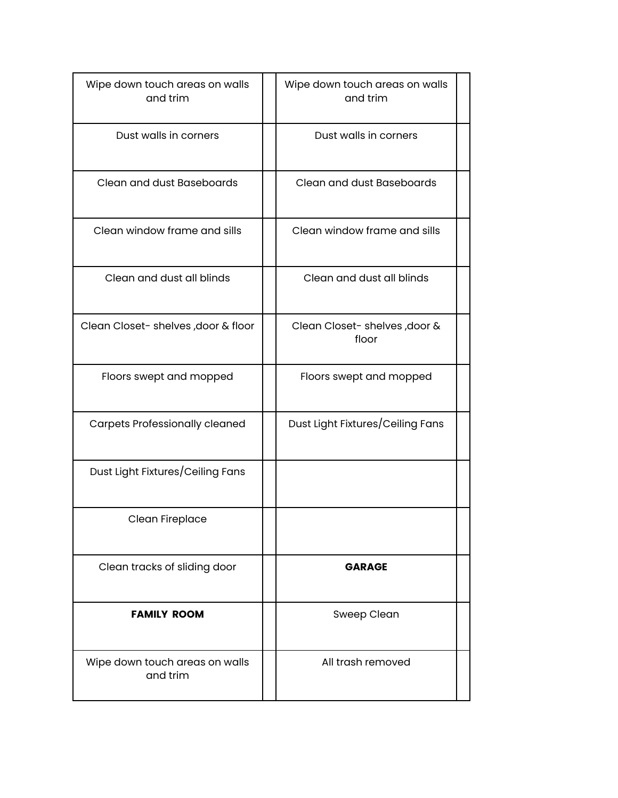| Wipe down touch areas on walls<br>and trim | Wipe down touch areas on walls<br>and trim |  |
|--------------------------------------------|--------------------------------------------|--|
| Dust walls in corners                      | Dust walls in corners                      |  |
| Clean and dust Baseboards                  | Clean and dust Baseboards                  |  |
| Clean window frame and sills               | Clean window frame and sills               |  |
| Clean and dust all blinds                  | Clean and dust all blinds                  |  |
| Clean Closet- shelves, door & floor        | Clean Closet- shelves, door &<br>floor     |  |
| Floors swept and mopped                    | Floors swept and mopped                    |  |
| <b>Carpets Professionally cleaned</b>      | Dust Light Fixtures/Ceiling Fans           |  |
| Dust Light Fixtures/Ceiling Fans           |                                            |  |
| Clean Fireplace                            |                                            |  |
| Clean tracks of sliding door               | <b>GARAGE</b>                              |  |
| <b>FAMILY ROOM</b>                         | Sweep Clean                                |  |
| Wipe down touch areas on walls<br>and trim | All trash removed                          |  |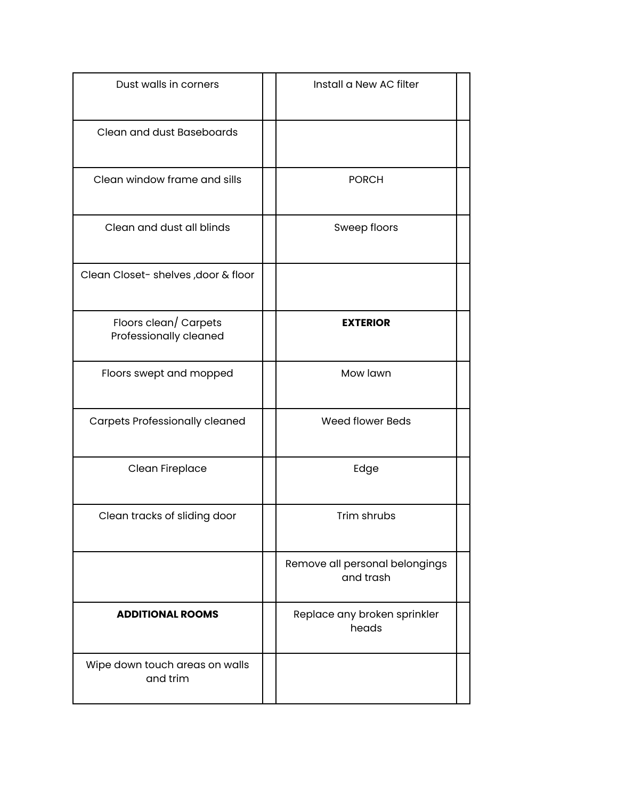| Dust walls in corners                           | Install a New AC filter                     |  |
|-------------------------------------------------|---------------------------------------------|--|
| Clean and dust Baseboards                       |                                             |  |
| Clean window frame and sills                    | <b>PORCH</b>                                |  |
| Clean and dust all blinds                       | Sweep floors                                |  |
| Clean Closet- shelves, door & floor             |                                             |  |
| Floors clean/ Carpets<br>Professionally cleaned | <b>EXTERIOR</b>                             |  |
| Floors swept and mopped                         | Mow lawn                                    |  |
| <b>Carpets Professionally cleaned</b>           | <b>Weed flower Beds</b>                     |  |
| Clean Fireplace                                 | Edge                                        |  |
| Clean tracks of sliding door                    | Trim shrubs                                 |  |
|                                                 | Remove all personal belongings<br>and trash |  |
| <b>ADDITIONAL ROOMS</b>                         | Replace any broken sprinkler<br>heads       |  |
| Wipe down touch areas on walls<br>and trim      |                                             |  |